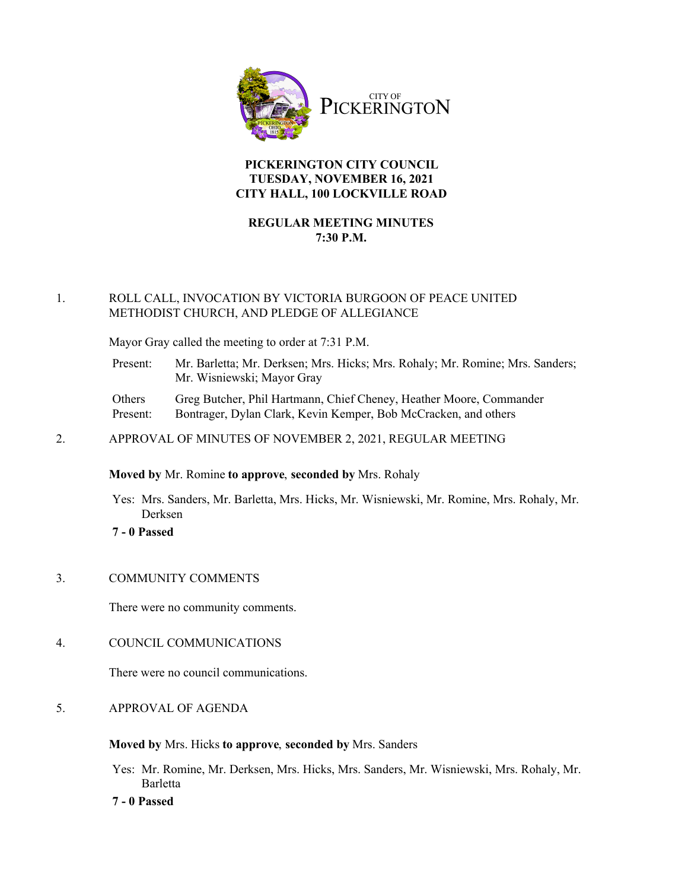

## **PICKERINGTON CITY COUNCIL TUESDAY, NOVEMBER 16, 2021 CITY HALL, 100 LOCKVILLE ROAD**

# **REGULAR MEETING MINUTES 7:30 P.M.**

### 1. ROLL CALL, INVOCATION BY VICTORIA BURGOON OF PEACE UNITED METHODIST CHURCH, AND PLEDGE OF ALLEGIANCE

Mayor Gray called the meeting to order at 7:31 P.M.

| Present: | Mr. Barletta; Mr. Derksen; Mrs. Hicks; Mrs. Rohaly; Mr. Romine; Mrs. Sanders; |
|----------|-------------------------------------------------------------------------------|
|          | Mr. Wisniewski; Mayor Gray                                                    |

| Others   | Greg Butcher, Phil Hartmann, Chief Cheney, Heather Moore, Commander |
|----------|---------------------------------------------------------------------|
| Present: | Bontrager, Dylan Clark, Kevin Kemper, Bob McCracken, and others     |

2. APPROVAL OF MINUTES OF NOVEMBER 2, 2021, REGULAR MEETING

### **Moved by** Mr. Romine **to approve**, **seconded by** Mrs. Rohaly

- Yes: Mrs. Sanders, Mr. Barletta, Mrs. Hicks, Mr. Wisniewski, Mr. Romine, Mrs. Rohaly, Mr. Derksen
- **7 0 Passed**

## 3. COMMUNITY COMMENTS

There were no community comments.

## 4. COUNCIL COMMUNICATIONS

There were no council communications.

5. APPROVAL OF AGENDA

### **Moved by** Mrs. Hicks **to approve**, **seconded by** Mrs. Sanders

Yes: Mr. Romine, Mr. Derksen, Mrs. Hicks, Mrs. Sanders, Mr. Wisniewski, Mrs. Rohaly, Mr. Barletta

**7 - 0 Passed**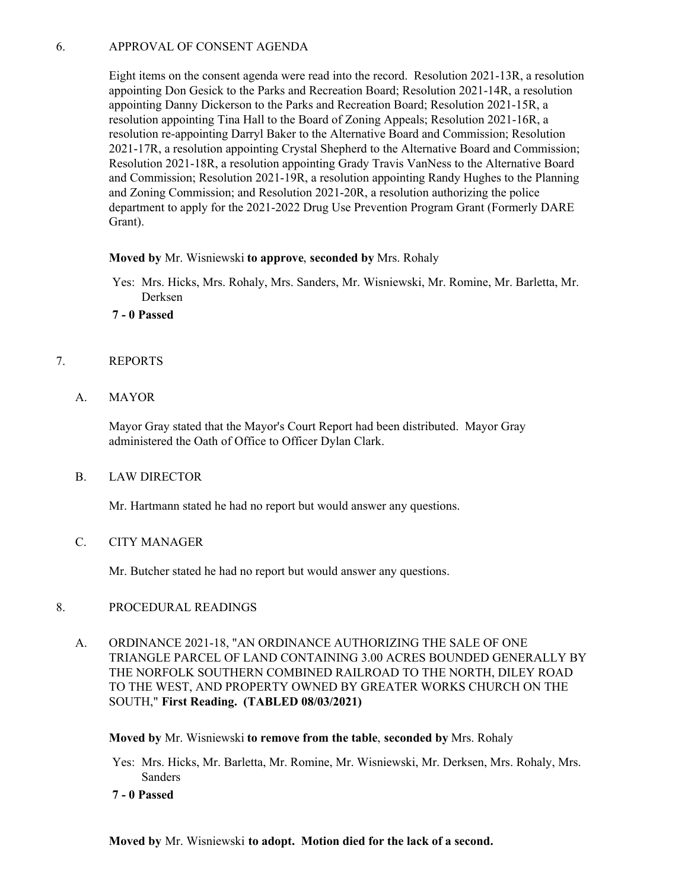## 6. APPROVAL OF CONSENT AGENDA

Eight items on the consent agenda were read into the record. Resolution 2021-13R, a resolution appointing Don Gesick to the Parks and Recreation Board; Resolution 2021-14R, a resolution appointing Danny Dickerson to the Parks and Recreation Board; Resolution 2021-15R, a resolution appointing Tina Hall to the Board of Zoning Appeals; Resolution 2021-16R, a resolution re-appointing Darryl Baker to the Alternative Board and Commission; Resolution 2021-17R, a resolution appointing Crystal Shepherd to the Alternative Board and Commission; Resolution 2021-18R, a resolution appointing Grady Travis VanNess to the Alternative Board and Commission; Resolution 2021-19R, a resolution appointing Randy Hughes to the Planning and Zoning Commission; and Resolution 2021-20R, a resolution authorizing the police department to apply for the 2021-2022 Drug Use Prevention Program Grant (Formerly DARE Grant).

### **Moved by** Mr. Wisniewski **to approve**, **seconded by** Mrs. Rohaly

- Yes: Mrs. Hicks, Mrs. Rohaly, Mrs. Sanders, Mr. Wisniewski, Mr. Romine, Mr. Barletta, Mr. Derksen
- **7 0 Passed**
- 7. REPORTS
	- A. MAYOR

Mayor Gray stated that the Mayor's Court Report had been distributed. Mayor Gray administered the Oath of Office to Officer Dylan Clark.

B. LAW DIRECTOR

Mr. Hartmann stated he had no report but would answer any questions.

C. CITY MANAGER

Mr. Butcher stated he had no report but would answer any questions.

### 8. PROCEDURAL READINGS

A. ORDINANCE 2021-18, "AN ORDINANCE AUTHORIZING THE SALE OF ONE TRIANGLE PARCEL OF LAND CONTAINING 3.00 ACRES BOUNDED GENERALLY BY THE NORFOLK SOUTHERN COMBINED RAILROAD TO THE NORTH, DILEY ROAD TO THE WEST, AND PROPERTY OWNED BY GREATER WORKS CHURCH ON THE SOUTH," **First Reading. (TABLED 08/03/2021)**

**Moved by** Mr. Wisniewski **to remove from the table**, **seconded by** Mrs. Rohaly

Yes: Mrs. Hicks, Mr. Barletta, Mr. Romine, Mr. Wisniewski, Mr. Derksen, Mrs. Rohaly, Mrs. Sanders

**7 - 0 Passed**

**Moved by** Mr. Wisniewski **to adopt. Motion died for the lack of a second.**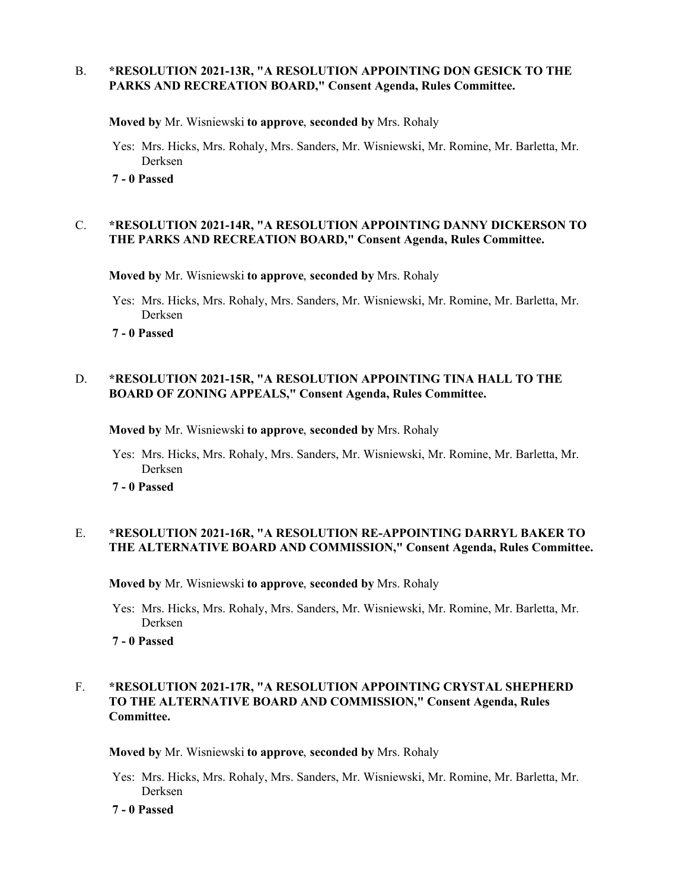### B. **\*RESOLUTION 2021-13R, "A RESOLUTION APPOINTING DON GESICK TO THE PARKS AND RECREATION BOARD," Consent Agenda, Rules Committee.**

**Moved by** Mr. Wisniewski **to approve**, **seconded by** Mrs. Rohaly

- Yes: Mrs. Hicks, Mrs. Rohaly, Mrs. Sanders, Mr. Wisniewski, Mr. Romine, Mr. Barletta, Mr. Derksen
- **7 0 Passed**

#### C. **\*RESOLUTION 2021-14R, "A RESOLUTION APPOINTING DANNY DICKERSON TO THE PARKS AND RECREATION BOARD," Consent Agenda, Rules Committee.**

**Moved by** Mr. Wisniewski **to approve**, **seconded by** Mrs. Rohaly

- Yes: Mrs. Hicks, Mrs. Rohaly, Mrs. Sanders, Mr. Wisniewski, Mr. Romine, Mr. Barletta, Mr. Derksen
- **7 0 Passed**

#### D. **\*RESOLUTION 2021-15R, "A RESOLUTION APPOINTING TINA HALL TO THE BOARD OF ZONING APPEALS," Consent Agenda, Rules Committee.**

**Moved by** Mr. Wisniewski **to approve**, **seconded by** Mrs. Rohaly

- Yes: Mrs. Hicks, Mrs. Rohaly, Mrs. Sanders, Mr. Wisniewski, Mr. Romine, Mr. Barletta, Mr. Derksen
- **7 0 Passed**

### E. **\*RESOLUTION 2021-16R, "A RESOLUTION RE-APPOINTING DARRYL BAKER TO THE ALTERNATIVE BOARD AND COMMISSION," Consent Agenda, Rules Committee.**

**Moved by** Mr. Wisniewski **to approve**, **seconded by** Mrs. Rohaly

- Yes: Mrs. Hicks, Mrs. Rohaly, Mrs. Sanders, Mr. Wisniewski, Mr. Romine, Mr. Barletta, Mr. Derksen
- **7 0 Passed**

## F. **\*RESOLUTION 2021-17R, "A RESOLUTION APPOINTING CRYSTAL SHEPHERD TO THE ALTERNATIVE BOARD AND COMMISSION," Consent Agenda, Rules Committee.**

**Moved by** Mr. Wisniewski **to approve**, **seconded by** Mrs. Rohaly

- Yes: Mrs. Hicks, Mrs. Rohaly, Mrs. Sanders, Mr. Wisniewski, Mr. Romine, Mr. Barletta, Mr. Derksen
- **7 0 Passed**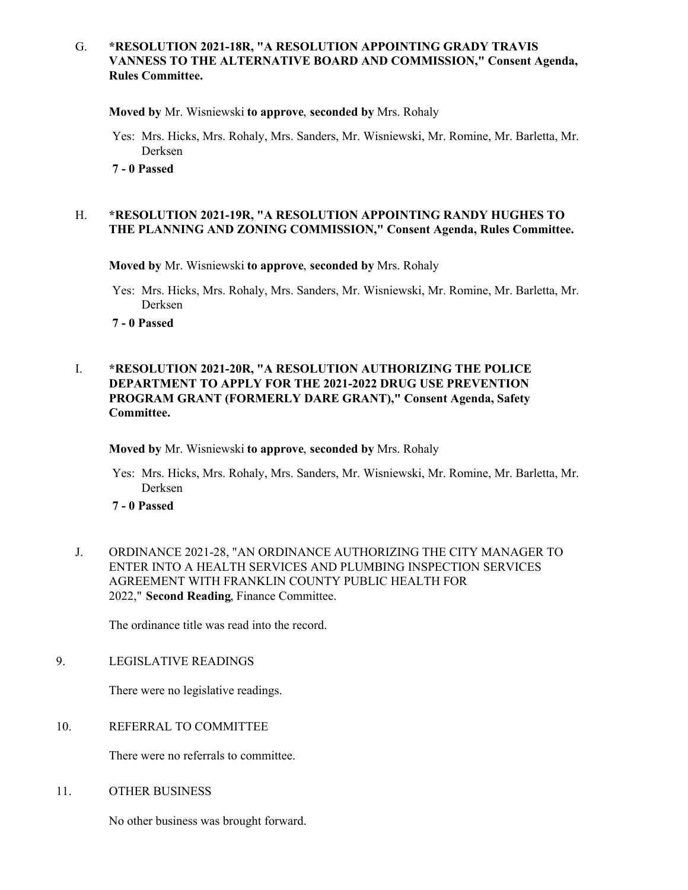### G. **\*RESOLUTION 2021-18R, "A RESOLUTION APPOINTING GRADY TRAVIS VANNESS TO THE ALTERNATIVE BOARD AND COMMISSION," Consent Agenda, Rules Committee.**

**Moved by** Mr. Wisniewski **to approve**, **seconded by** Mrs. Rohaly

- Yes: Mrs. Hicks, Mrs. Rohaly, Mrs. Sanders, Mr. Wisniewski, Mr. Romine, Mr. Barletta, Mr. Derksen
- **7 0 Passed**

### H. **\*RESOLUTION 2021-19R, "A RESOLUTION APPOINTING RANDY HUGHES TO THE PLANNING AND ZONING COMMISSION," Consent Agenda, Rules Committee.**

**Moved by** Mr. Wisniewski **to approve**, **seconded by** Mrs. Rohaly

- Yes: Mrs. Hicks, Mrs. Rohaly, Mrs. Sanders, Mr. Wisniewski, Mr. Romine, Mr. Barletta, Mr. Derksen
- **7 0 Passed**

## I. **\*RESOLUTION 2021-20R, "A RESOLUTION AUTHORIZING THE POLICE DEPARTMENT TO APPLY FOR THE 2021-2022 DRUG USE PREVENTION PROGRAM GRANT (FORMERLY DARE GRANT)," Consent Agenda, Safety Committee.**

**Moved by** Mr. Wisniewski **to approve**, **seconded by** Mrs. Rohaly

Yes: Mrs. Hicks, Mrs. Rohaly, Mrs. Sanders, Mr. Wisniewski, Mr. Romine, Mr. Barletta, Mr. Derksen

**7 - 0 Passed**

J. ORDINANCE 2021-28, "AN ORDINANCE AUTHORIZING THE CITY MANAGER TO ENTER INTO A HEALTH SERVICES AND PLUMBING INSPECTION SERVICES AGREEMENT WITH FRANKLIN COUNTY PUBLIC HEALTH FOR 2022," **Second Reading**, Finance Committee.

The ordinance title was read into the record.

9. LEGISLATIVE READINGS

There were no legislative readings.

10. REFERRAL TO COMMITTEE

There were no referrals to committee.

11. OTHER BUSINESS

No other business was brought forward.